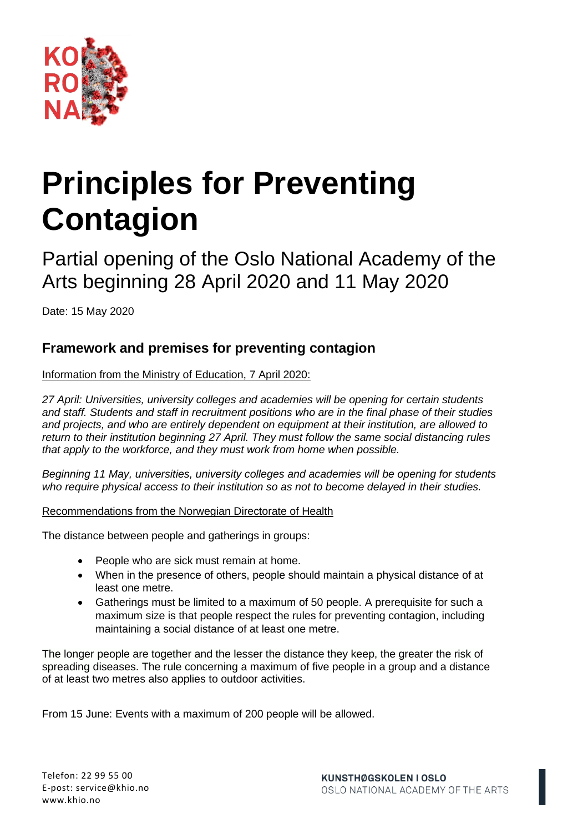

# **Principles for Preventing Contagion**

Partial opening of the Oslo National Academy of the Arts beginning 28 April 2020 and 11 May 2020

Date: 15 May 2020

## **Framework and premises for preventing contagion**

Information from the Ministry of Education, 7 April 2020:

*27 April: Universities, university colleges and academies will be opening for certain students and staff. Students and staff in recruitment positions who are in the final phase of their studies and projects, and who are entirely dependent on equipment at their institution, are allowed to return to their institution beginning 27 April. They must follow the same social distancing rules that apply to the workforce, and they must work from home when possible.*

*Beginning 11 May, universities, university colleges and academies will be opening for students who require physical access to their institution so as not to become delayed in their studies.*

Recommendations from the Norwegian Directorate of Health

The distance between people and gatherings in groups:

- People who are sick must remain at home.
- When in the presence of others, people should maintain a physical distance of at least one metre.
- Gatherings must be limited to a maximum of 50 people. A prerequisite for such a maximum size is that people respect the rules for preventing contagion, including maintaining a social distance of at least one metre.

The longer people are together and the lesser the distance they keep, the greater the risk of spreading diseases. The rule concerning a maximum of five people in a group and a distance of at least two metres also applies to outdoor activities.

From 15 June: Events with a maximum of 200 people will be allowed.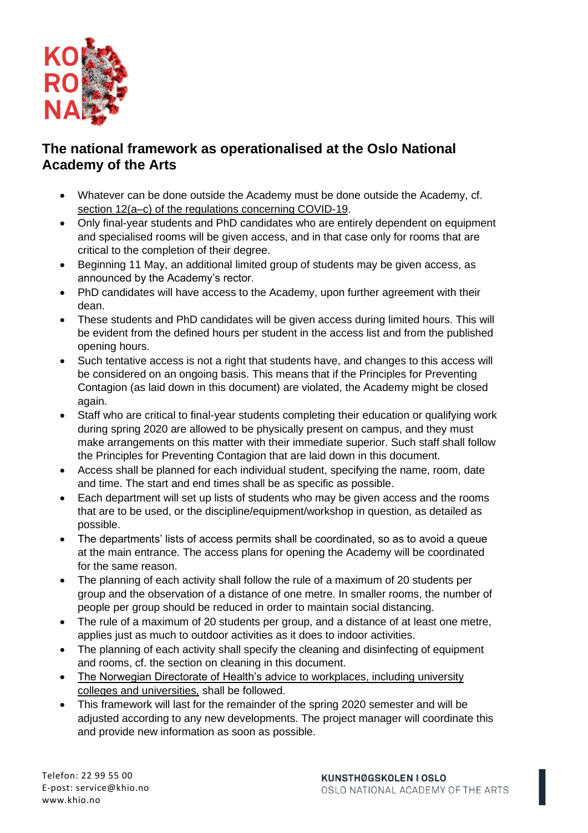

## **The national framework as operationalised at the Oslo National Academy of the Arts**

- Whatever can be done outside the Academy must be done outside the Academy, cf. [section 12\(a–c\) of the regulations concerning COVID-19.](https://lovdata.no/dokument/SF/forskrift/2020-03-27-470)
- Only final-year students and PhD candidates who are entirely dependent on equipment and specialised rooms will be given access, and in that case only for rooms that are critical to the completion of their degree.
- Beginning 11 May, an additional limited group of students may be given access, as announced by the Academy's rector.
- PhD candidates will have access to the Academy, upon further agreement with their dean.
- These students and PhD candidates will be given access during limited hours. This will be evident from the defined hours per student in the access list and from the published opening hours.
- Such tentative access is not a right that students have, and changes to this access will be considered on an ongoing basis. This means that if the Principles for Preventing Contagion (as laid down in this document) are violated, the Academy might be closed again.
- Staff who are critical to final-year students completing their education or qualifying work during spring 2020 are allowed to be physically present on campus, and they must make arrangements on this matter with their immediate superior. Such staff shall follow the Principles for Preventing Contagion that are laid down in this document.
- Access shall be planned for each individual student, specifying the name, room, date and time. The start and end times shall be as specific as possible.
- Each department will set up lists of students who may be given access and the rooms that are to be used, or the discipline/equipment/workshop in question, as detailed as possible.
- The departments' lists of access permits shall be coordinated, so as to avoid a queue at the main entrance. The access plans for opening the Academy will be coordinated for the same reason.
- The planning of each activity shall follow the rule of a maximum of 20 students per group and the observation of a distance of one metre. In smaller rooms, the number of people per group should be reduced in order to maintain social distancing.
- The rule of a maximum of 20 students per group, and a distance of at least one metre, applies just as much to outdoor activities as it does to indoor activities.
- The planning of each activity shall specify the cleaning and disinfecting of equipment and rooms, cf. the section on cleaning in this document.
- [The Norwegian Directorate of Health's advice to workplaces, including university](https://www.fhi.no/nettpub/coronavirus/rad-og-informasjon-til-andre-sektorer-og-yrkesgrupper/rad_til_arbeidsplasser/)  [colleges and universities,](https://www.fhi.no/nettpub/coronavirus/rad-og-informasjon-til-andre-sektorer-og-yrkesgrupper/rad_til_arbeidsplasser/) shall be followed.
- This framework will last for the remainder of the spring 2020 semester and will be adjusted according to any new developments. The project manager will coordinate this and provide new information as soon as possible.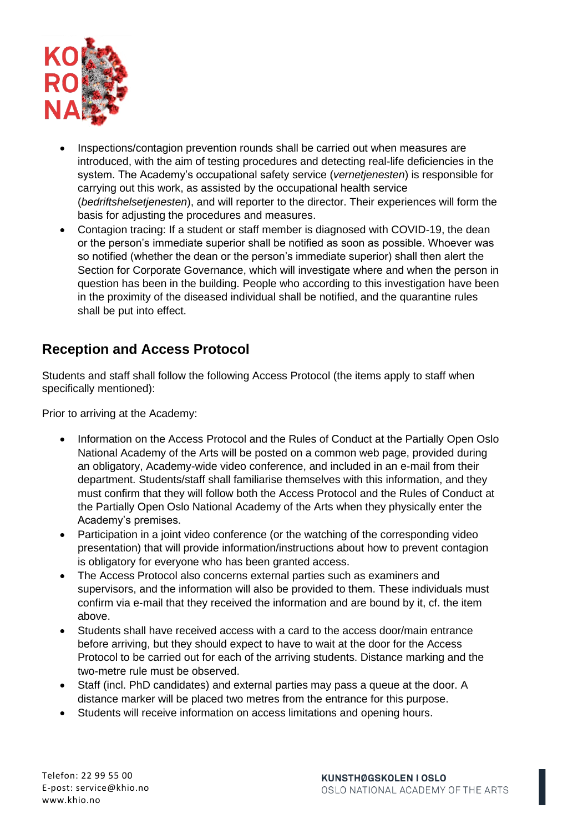

- Inspections/contagion prevention rounds shall be carried out when measures are introduced, with the aim of testing procedures and detecting real-life deficiencies in the system. The Academy's occupational safety service (*vernetjenesten*) is responsible for carrying out this work, as assisted by the occupational health service (*bedriftshelsetjenesten*), and will reporter to the director. Their experiences will form the basis for adjusting the procedures and measures.
- Contagion tracing: If a student or staff member is diagnosed with COVID-19, the dean or the person's immediate superior shall be notified as soon as possible. Whoever was so notified (whether the dean or the person's immediate superior) shall then alert the Section for Corporate Governance, which will investigate where and when the person in question has been in the building. People who according to this investigation have been in the proximity of the diseased individual shall be notified, and the quarantine rules shall be put into effect.

## **Reception and Access Protocol**

Students and staff shall follow the following Access Protocol (the items apply to staff when specifically mentioned):

Prior to arriving at the Academy:

- Information on the Access Protocol and the Rules of Conduct at the Partially Open Oslo National Academy of the Arts will be posted on a common web page, provided during an obligatory, Academy-wide video conference, and included in an e-mail from their department. Students/staff shall familiarise themselves with this information, and they must confirm that they will follow both the Access Protocol and the Rules of Conduct at the Partially Open Oslo National Academy of the Arts when they physically enter the Academy's premises.
- Participation in a joint video conference (or the watching of the corresponding video presentation) that will provide information/instructions about how to prevent contagion is obligatory for everyone who has been granted access.
- The Access Protocol also concerns external parties such as examiners and supervisors, and the information will also be provided to them. These individuals must confirm via e-mail that they received the information and are bound by it, cf. the item above.
- Students shall have received access with a card to the access door/main entrance before arriving, but they should expect to have to wait at the door for the Access Protocol to be carried out for each of the arriving students. Distance marking and the two-metre rule must be observed.
- Staff (incl. PhD candidates) and external parties may pass a queue at the door. A distance marker will be placed two metres from the entrance for this purpose.
- Students will receive information on access limitations and opening hours.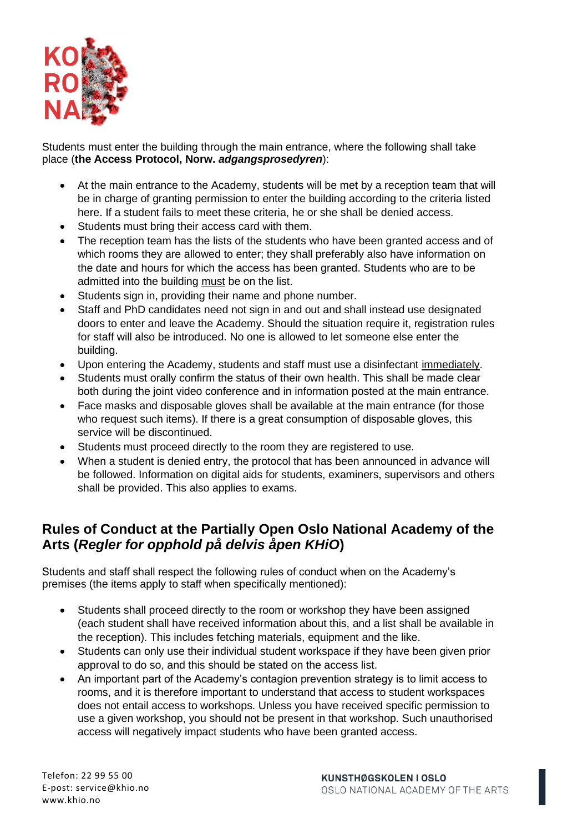

Students must enter the building through the main entrance, where the following shall take place (**the Access Protocol, Norw.** *adgangsprosedyren*):

- At the main entrance to the Academy, students will be met by a reception team that will be in charge of granting permission to enter the building according to the criteria listed here. If a student fails to meet these criteria, he or she shall be denied access.
- Students must bring their access card with them.
- The reception team has the lists of the students who have been granted access and of which rooms they are allowed to enter; they shall preferably also have information on the date and hours for which the access has been granted. Students who are to be admitted into the building must be on the list.
- Students sign in, providing their name and phone number.
- Staff and PhD candidates need not sign in and out and shall instead use designated doors to enter and leave the Academy. Should the situation require it, registration rules for staff will also be introduced. No one is allowed to let someone else enter the building.
- Upon entering the Academy, students and staff must use a disinfectant immediately.
- Students must orally confirm the status of their own health. This shall be made clear both during the joint video conference and in information posted at the main entrance.
- Face masks and disposable gloves shall be available at the main entrance (for those who request such items). If there is a great consumption of disposable gloves, this service will be discontinued.
- Students must proceed directly to the room they are registered to use.
- When a student is denied entry, the protocol that has been announced in advance will be followed. Information on digital aids for students, examiners, supervisors and others shall be provided. This also applies to exams.

## **Rules of Conduct at the Partially Open Oslo National Academy of the Arts (***Regler for opphold på delvis åpen KHiO***)**

Students and staff shall respect the following rules of conduct when on the Academy's premises (the items apply to staff when specifically mentioned):

- Students shall proceed directly to the room or workshop they have been assigned (each student shall have received information about this, and a list shall be available in the reception). This includes fetching materials, equipment and the like.
- Students can only use their individual student workspace if they have been given prior approval to do so, and this should be stated on the access list.
- An important part of the Academy's contagion prevention strategy is to limit access to rooms, and it is therefore important to understand that access to student workspaces does not entail access to workshops. Unless you have received specific permission to use a given workshop, you should not be present in that workshop. Such unauthorised access will negatively impact students who have been granted access.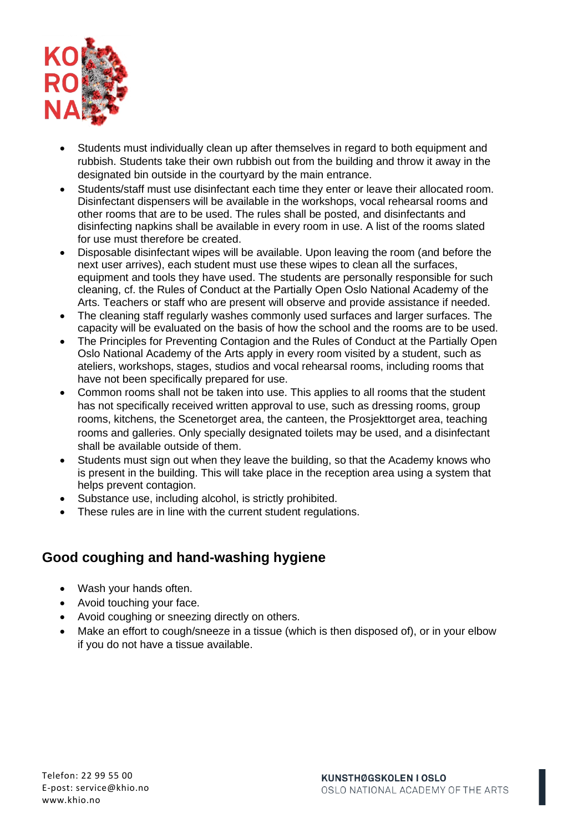

- Students must individually clean up after themselves in regard to both equipment and rubbish. Students take their own rubbish out from the building and throw it away in the designated bin outside in the courtyard by the main entrance.
- Students/staff must use disinfectant each time they enter or leave their allocated room. Disinfectant dispensers will be available in the workshops, vocal rehearsal rooms and other rooms that are to be used. The rules shall be posted, and disinfectants and disinfecting napkins shall be available in every room in use. A list of the rooms slated for use must therefore be created.
- Disposable disinfectant wipes will be available. Upon leaving the room (and before the next user arrives), each student must use these wipes to clean all the surfaces, equipment and tools they have used. The students are personally responsible for such cleaning, cf. the Rules of Conduct at the Partially Open Oslo National Academy of the Arts. Teachers or staff who are present will observe and provide assistance if needed.
- The cleaning staff regularly washes commonly used surfaces and larger surfaces. The capacity will be evaluated on the basis of how the school and the rooms are to be used.
- The Principles for Preventing Contagion and the Rules of Conduct at the Partially Open Oslo National Academy of the Arts apply in every room visited by a student, such as ateliers, workshops, stages, studios and vocal rehearsal rooms, including rooms that have not been specifically prepared for use.
- Common rooms shall not be taken into use. This applies to all rooms that the student has not specifically received written approval to use, such as dressing rooms, group rooms, kitchens, the Scenetorget area, the canteen, the Prosjekttorget area, teaching rooms and galleries. Only specially designated toilets may be used, and a disinfectant shall be available outside of them.
- Students must sign out when they leave the building, so that the Academy knows who is present in the building. This will take place in the reception area using a system that helps prevent contagion.
- Substance use, including alcohol, is strictly prohibited.
- These rules are in line with the current student regulations.

## **Good coughing and hand-washing hygiene**

- Wash your hands often.
- Avoid touching your face.
- Avoid coughing or sneezing directly on others.
- Make an effort to cough/sneeze in a tissue (which is then disposed of), or in your elbow if you do not have a tissue available.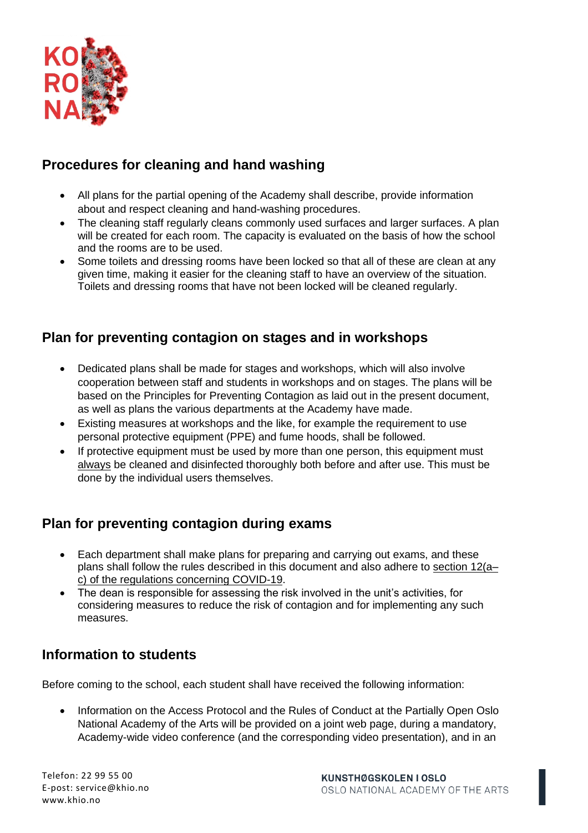

# **Procedures for cleaning and hand washing**

- All plans for the partial opening of the Academy shall describe, provide information about and respect cleaning and hand-washing procedures.
- The cleaning staff regularly cleans commonly used surfaces and larger surfaces. A plan will be created for each room. The capacity is evaluated on the basis of how the school and the rooms are to be used.
- Some toilets and dressing rooms have been locked so that all of these are clean at any given time, making it easier for the cleaning staff to have an overview of the situation. Toilets and dressing rooms that have not been locked will be cleaned regularly.

## **Plan for preventing contagion on stages and in workshops**

- Dedicated plans shall be made for stages and workshops, which will also involve cooperation between staff and students in workshops and on stages. The plans will be based on the Principles for Preventing Contagion as laid out in the present document, as well as plans the various departments at the Academy have made.
- Existing measures at workshops and the like, for example the requirement to use personal protective equipment (PPE) and fume hoods, shall be followed.
- If protective equipment must be used by more than one person, this equipment must always be cleaned and disinfected thoroughly both before and after use. This must be done by the individual users themselves.

## **Plan for preventing contagion during exams**

- Each department shall make plans for preparing and carrying out exams, and these plans shall follow the rules described in this document and also adhere to [section 12\(a–](https://lovdata.no/dokument/SF/forskrift/2020-03-27-470) [c\) of the regulations concerning COVID-19.](https://lovdata.no/dokument/SF/forskrift/2020-03-27-470)
- The dean is responsible for assessing the risk involved in the unit's activities, for considering measures to reduce the risk of contagion and for implementing any such measures.

# **Information to students**

Before coming to the school, each student shall have received the following information:

• Information on the Access Protocol and the Rules of Conduct at the Partially Open Oslo National Academy of the Arts will be provided on a joint web page, during a mandatory, Academy-wide video conference (and the corresponding video presentation), and in an